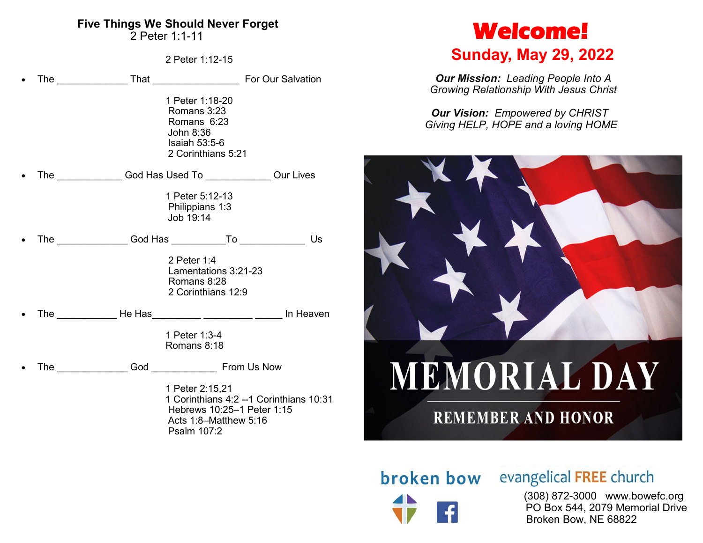#### **Five Things We Should Never Forget**

2 Peter 1:1-11

2 Peter 1:12-15

|  | 1 Peter 1:18-20<br>Romans 3:23<br>Romans 6:23<br>John 8:36<br>Isaiah $53:5-6$<br>2 Corinthians 5:21                |    |
|--|--------------------------------------------------------------------------------------------------------------------|----|
|  | The _________________God Has Used To __________________Our Lives                                                   |    |
|  | 1 Peter 5:12-13<br>Philippians 1:3<br>Job 19:14                                                                    |    |
|  | The __________________God Has ______________To _________________                                                   | Us |
|  | 2 Peter 1:4<br>Lamentations 3:21-23<br>Romans 8:28<br>2 Corinthians 12:9                                           |    |
|  |                                                                                                                    |    |
|  | 1 Peter 1:3-4<br>Romans 8:18                                                                                       |    |
|  | The Cod Cod From Us Now                                                                                            |    |
|  | 1 Peter 2:15,21<br>1 Corinthians 4:2 -- 1 Corinthians 10:31<br>Hebrews 10:25-1 Peter 1:15<br>Acts 1:8-Matthew 5:16 |    |

Psalm 107:2

## **Welcome!**

## **Sunday, May 29, 2022**

*Our Mission: Leading People Into A Growing Relationship With Jesus Christ*

*Our Vision: Empowered by CHRIST Giving HELP, HOPE and a loving HOME*



# broken bow

## evangelical FREE church

 (308) 872-3000 www.bowefc.org PO Box 544, 2079 Memorial Drive Broken Bow, NE 68822